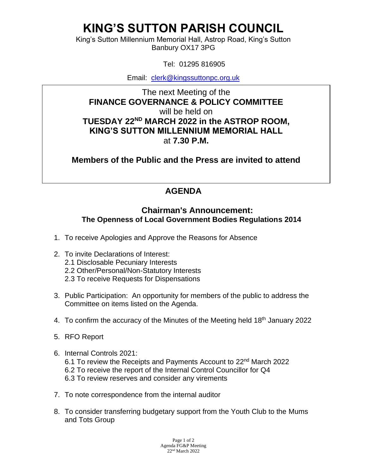## **KING'S SUTTON PARISH COUNCIL**

King's Sutton Millennium Memorial Hall, Astrop Road, King's Sutton Banbury OX17 3PG

Tel: 01295 816905

Email: [clerk@kingssuttonpc.org.uk](mailto:clerk@kingssuttonpc.org.uk)

The next Meeting of the **FINANCE GOVERNANCE & POLICY COMMITTEE**  will be held on **TUESDAY 22ND MARCH 2022 in the ASTROP ROOM, KING'S SUTTON MILLENNIUM MEMORIAL HALL** at **7.30 P.M.** 

**Members of the Public and the Press are invited to attend** 

## **AGENDA**

## **Chairman's Announcement: The Openness of Local Government Bodies Regulations 2014**

- 1. To receive Apologies and Approve the Reasons for Absence
- 2. To invite Declarations of Interest:
	- 2.1 Disclosable Pecuniary Interests
	- 2.2 Other/Personal/Non-Statutory Interests
	- 2.3 To receive Requests for Dispensations
- 3. Public Participation: An opportunity for members of the public to address the Committee on items listed on the Agenda.
- 4. To confirm the accuracy of the Minutes of the Meeting held 18<sup>th</sup> January 2022
- 5. RFO Report
- 6. Internal Controls 2021: 6.1 To review the Receipts and Payments Account to 22nd March 2022 6.2 To receive the report of the Internal Control Councillor for Q4 6.3 To review reserves and consider any virements
- 7. To note correspondence from the internal auditor
- 8. To consider transferring budgetary support from the Youth Club to the Mums and Tots Group

Page 1 of 2 Agenda FG&P Meeting 22nd March 2022